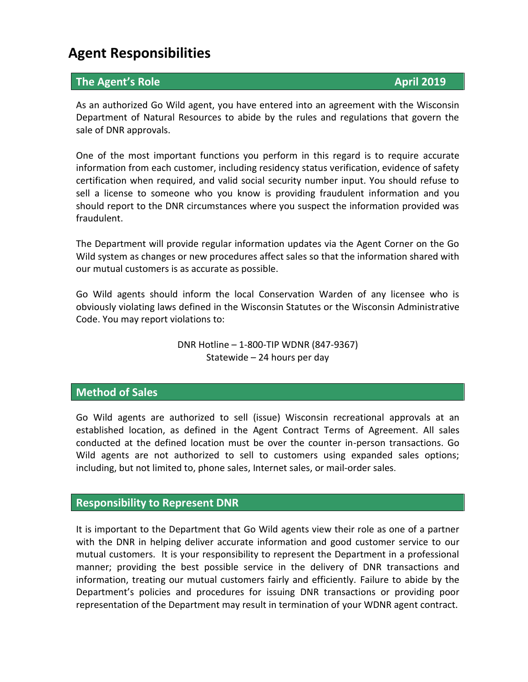# **Agent Responsibilities**

## **The Agent's Role April 2019**

As an authorized Go Wild agent, you have entered into an agreement with the Wisconsin Department of Natural Resources to abide by the rules and regulations that govern the sale of DNR approvals.

One of the most important functions you perform in this regard is to require accurate information from each customer, including residency status verification, evidence of safety certification when required, and valid social security number input. You should refuse to sell a license to someone who you know is providing fraudulent information and you should report to the DNR circumstances where you suspect the information provided was fraudulent.

The Department will provide regular information updates via the Agent Corner on the Go Wild system as changes or new procedures affect sales so that the information shared with our mutual customers is as accurate as possible.

Go Wild agents should inform the local Conservation Warden of any licensee who is obviously violating laws defined in the Wisconsin Statutes or the Wisconsin Administrative Code. You may report violations to:

> DNR Hotline – 1-800-TIP WDNR (847-9367) Statewide – 24 hours per day

#### **Method of Sales**

Go Wild agents are authorized to sell (issue) Wisconsin recreational approvals at an established location, as defined in the Agent Contract Terms of Agreement. All sales conducted at the defined location must be over the counter in-person transactions. Go Wild agents are not authorized to sell to customers using expanded sales options; including, but not limited to, phone sales, Internet sales, or mail-order sales.

#### **Responsibility to Represent DNR**

It is important to the Department that Go Wild agents view their role as one of a partner with the DNR in helping deliver accurate information and good customer service to our mutual customers. It is your responsibility to represent the Department in a professional manner; providing the best possible service in the delivery of DNR transactions and information, treating our mutual customers fairly and efficiently. Failure to abide by the Department's policies and procedures for issuing DNR transactions or providing poor representation of the Department may result in termination of your WDNR agent contract.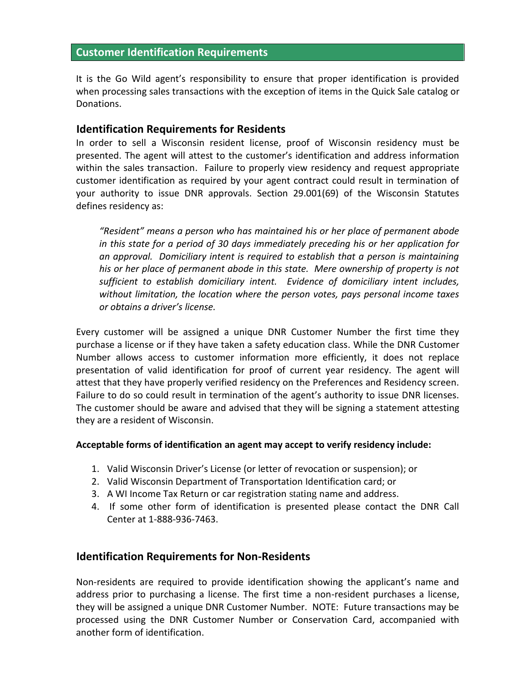#### **Customer Identification Requirements**

It is the Go Wild agent's responsibility to ensure that proper identification is provided when processing sales transactions with the exception of items in the Quick Sale catalog or Donations.

#### **Identification Requirements for Residents**

In order to sell a Wisconsin resident license, proof of Wisconsin residency must be presented. The agent will attest to the customer's identification and address information within the sales transaction. Failure to properly view residency and request appropriate customer identification as required by your agent contract could result in termination of your authority to issue DNR approvals. Section 29.001(69) of the Wisconsin Statutes defines residency as:

*"Resident" means a person who has maintained his or her place of permanent abode in this state for a period of 30 days immediately preceding his or her application for an approval. Domiciliary intent is required to establish that a person is maintaining his or her place of permanent abode in this state. Mere ownership of property is not sufficient to establish domiciliary intent. Evidence of domiciliary intent includes, without limitation, the location where the person votes, pays personal income taxes or obtains a driver's license.*

Every customer will be assigned a unique DNR Customer Number the first time they purchase a license or if they have taken a safety education class. While the DNR Customer Number allows access to customer information more efficiently, it does not replace presentation of valid identification for proof of current year residency. The agent will attest that they have properly verified residency on the Preferences and Residency screen. Failure to do so could result in termination of the agent's authority to issue DNR licenses. The customer should be aware and advised that they will be signing a statement attesting they are a resident of Wisconsin.

#### **Acceptable forms of identification an agent may accept to verify residency include:**

- 1. Valid Wisconsin Driver's License (or letter of revocation or suspension); or
- 2. Valid Wisconsin Department of Transportation Identification card; or
- 3. A WI Income Tax Return or car registration stating name and address.
- 4. If some other form of identification is presented please contact the DNR Call Center at 1-888-936-7463.

#### **Identification Requirements for Non-Residents**

Non-residents are required to provide identification showing the applicant's name and address prior to purchasing a license. The first time a non-resident purchases a license, they will be assigned a unique DNR Customer Number. NOTE: Future transactions may be processed using the DNR Customer Number or Conservation Card, accompanied with another form of identification.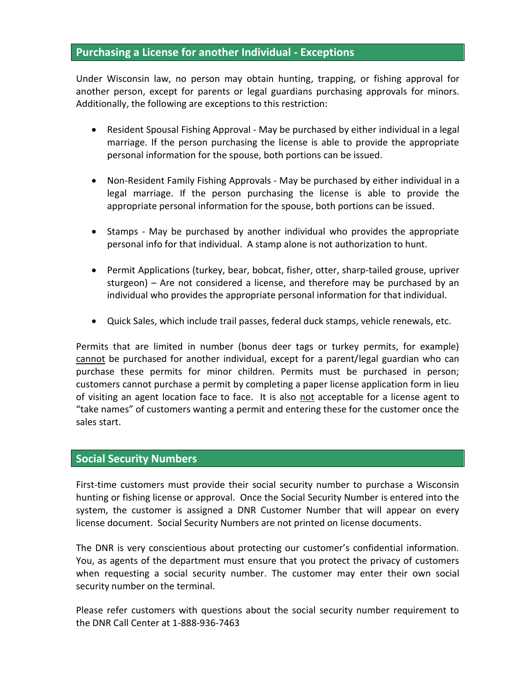#### **Purchasing a License for another Individual - Exceptions**

Under Wisconsin law, no person may obtain hunting, trapping, or fishing approval for another person, except for parents or legal guardians purchasing approvals for minors. Additionally, the following are exceptions to this restriction:

- Resident Spousal Fishing Approval May be purchased by either individual in a legal marriage. If the person purchasing the license is able to provide the appropriate personal information for the spouse, both portions can be issued.
- Non-Resident Family Fishing Approvals May be purchased by either individual in a legal marriage. If the person purchasing the license is able to provide the appropriate personal information for the spouse, both portions can be issued.
- Stamps May be purchased by another individual who provides the appropriate personal info for that individual. A stamp alone is not authorization to hunt.
- Permit Applications (turkey, bear, bobcat, fisher, otter, sharp-tailed grouse, upriver sturgeon) – Are not considered a license, and therefore may be purchased by an individual who provides the appropriate personal information for that individual.
- Quick Sales, which include trail passes, federal duck stamps, vehicle renewals, etc.

Permits that are limited in number (bonus deer tags or turkey permits, for example) cannot be purchased for another individual, except for a parent/legal guardian who can purchase these permits for minor children. Permits must be purchased in person; customers cannot purchase a permit by completing a paper license application form in lieu of visiting an agent location face to face. It is also not acceptable for a license agent to "take names" of customers wanting a permit and entering these for the customer once the sales start.

#### **Social Security Numbers**

First-time customers must provide their social security number to purchase a Wisconsin hunting or fishing license or approval. Once the Social Security Number is entered into the system, the customer is assigned a DNR Customer Number that will appear on every license document. Social Security Numbers are not printed on license documents.

The DNR is very conscientious about protecting our customer's confidential information. You, as agents of the department must ensure that you protect the privacy of customers when requesting a social security number. The customer may enter their own social security number on the terminal.

Please refer customers with questions about the social security number requirement to the DNR Call Center at 1-888-936-7463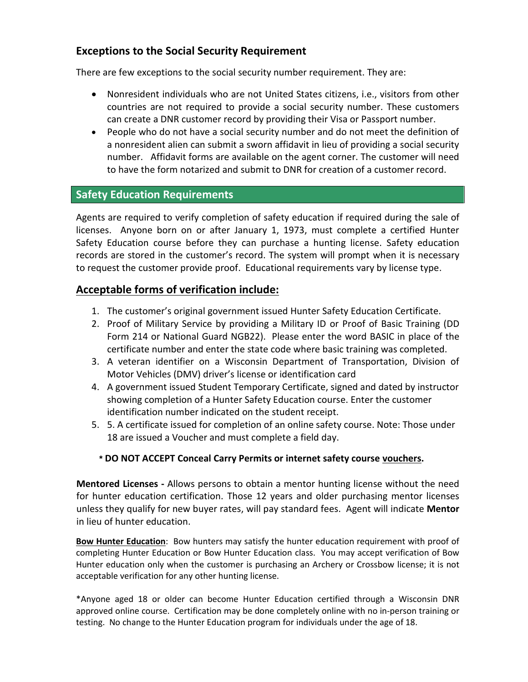## **Exceptions to the Social Security Requirement**

There are few exceptions to the social security number requirement. They are:

- Nonresident individuals who are not United States citizens, i.e., visitors from other countries are not required to provide a social security number. These customers can create a DNR customer record by providing their Visa or Passport number.
- People who do not have a social security number and do not meet the definition of a nonresident alien can submit a sworn affidavit in lieu of providing a social security number. Affidavit forms are available on the agent corner. The customer will need to have the form notarized and submit to DNR for creation of a customer record.

## **Safety Education Requirements**

Agents are required to verify completion of safety education if required during the sale of licenses. Anyone born on or after January 1, 1973, must complete a certified Hunter Safety Education course before they can purchase a hunting license. Safety education records are stored in the customer's record. The system will prompt when it is necessary to request the customer provide proof. Educational requirements vary by license type.

#### **Acceptable forms of verification include:**

- 1. The customer's original government issued Hunter Safety Education Certificate.
- 2. Proof of Military Service by providing a Military ID or Proof of Basic Training (DD Form 214 or National Guard NGB22). Please enter the word BASIC in place of the certificate number and enter the state code where basic training was completed.
- 3. A veteran identifier on a Wisconsin Department of Transportation, Division of Motor Vehicles (DMV) driver's license or identification card
- 4. A government issued Student Temporary Certificate, signed and dated by instructor showing completion of a Hunter Safety Education course. Enter the customer identification number indicated on the student receipt.
- 5. 5. A certificate issued for completion of an online safety course. Note: Those under 18 are issued a Voucher and must complete a field day.

#### **\* DO NOT ACCEPT Conceal Carry Permits or internet safety course vouchers.**

**Mentored Licenses -** Allows persons to obtain a mentor hunting license without the need for hunter education certification. Those 12 years and older purchasing mentor licenses unless they qualify for new buyer rates, will pay standard fees. Agent will indicate **Mentor** in lieu of hunter education.

**Bow Hunter Education**: Bow hunters may satisfy the hunter education requirement with proof of completing Hunter Education or Bow Hunter Education class. You may accept verification of Bow Hunter education only when the customer is purchasing an Archery or Crossbow license; it is not acceptable verification for any other hunting license.

\*Anyone aged 18 or older can become Hunter Education certified through a Wisconsin DNR approved online course. Certification may be done completely online with no in-person training or testing. No change to the Hunter Education program for individuals under the age of 18.